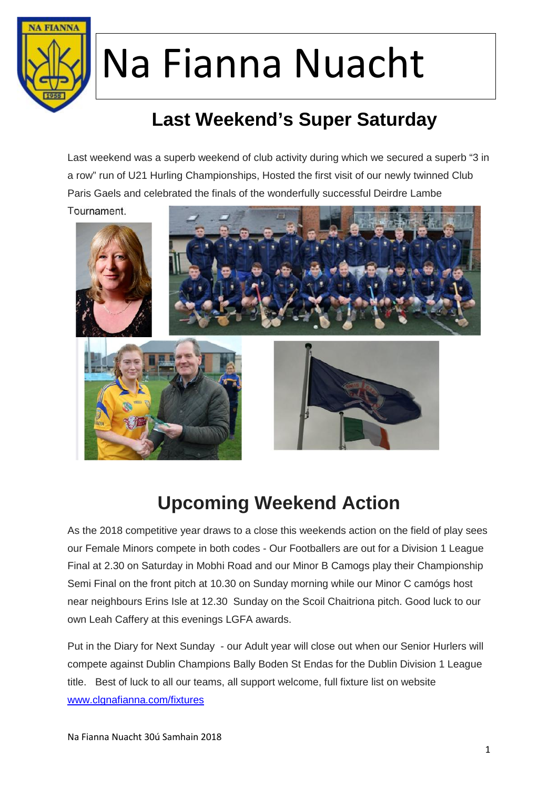

### **Last Weekend's Super Saturday**

Last weekend was a superb weekend of club activity during which we secured a superb "3 in a row" run of U21 Hurling Championships, Hosted the first visit of our newly twinned Club Paris Gaels and celebrated the finals of the wonderfully successful Deirdre Lambe





### **Upcoming Weekend Action**

As the 2018 competitive year draws to a close this weekends action on the field of play sees our Female Minors compete in both codes - Our Footballers are out for a Division 1 League Final at 2.30 on Saturday in Mobhi Road and our Minor B Camogs play their Championship Semi Final on the front pitch at 10.30 on Sunday morning while our Minor C camógs host near neighbours Erins Isle at 12.30 Sunday on the Scoil Chaitriona pitch. Good luck to our own Leah Caffery at this evenings LGFA awards.

Put in the Diary for Next Sunday - our Adult year will close out when our Senior Hurlers will compete against Dublin Champions Bally Boden St Endas for the Dublin Division 1 League title. Best of luck to all our teams, all support welcome, full fixture list on website www.clgnafianna.com/fixtures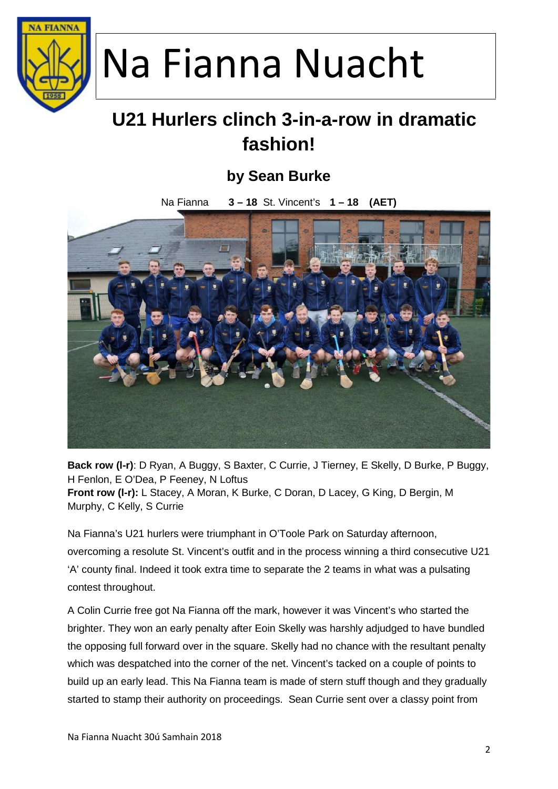

### **U21 Hurlers clinch 3-in-a-row in dramatic fashion!**

#### **by Sean Burke**

Na Fianna **3 – 18** St. Vincent's **1 – 18 (AET)**



**Back row (l-r)**: D Ryan, A Buggy, S Baxter, C Currie, J Tierney, E Skelly, D Burke, P Buggy, H Fenlon, E O'Dea, P Feeney, N Loftus **Front row (l-r):** L Stacey, A Moran, K Burke, C Doran, D Lacey, G King, D Bergin, M Murphy, C Kelly, S Currie

Na Fianna's U21 hurlers were triumphant in O'Toole Park on Saturday afternoon, overcoming a resolute St. Vincent's outfit and in the process winning a third consecutive U21 'A' county final. Indeed it took extra time to separate the 2 teams in what was a pulsating contest throughout.

A Colin Currie free got Na Fianna off the mark, however it was Vincent's who started the brighter. They won an early penalty after Eoin Skelly was harshly adjudged to have bundled the opposing full forward over in the square. Skelly had no chance with the resultant penalty which was despatched into the corner of the net. Vincent's tacked on a couple of points to build up an early lead. This Na Fianna team is made of stern stuff though and they gradually started to stamp their authority on proceedings. Sean Currie sent over a classy point from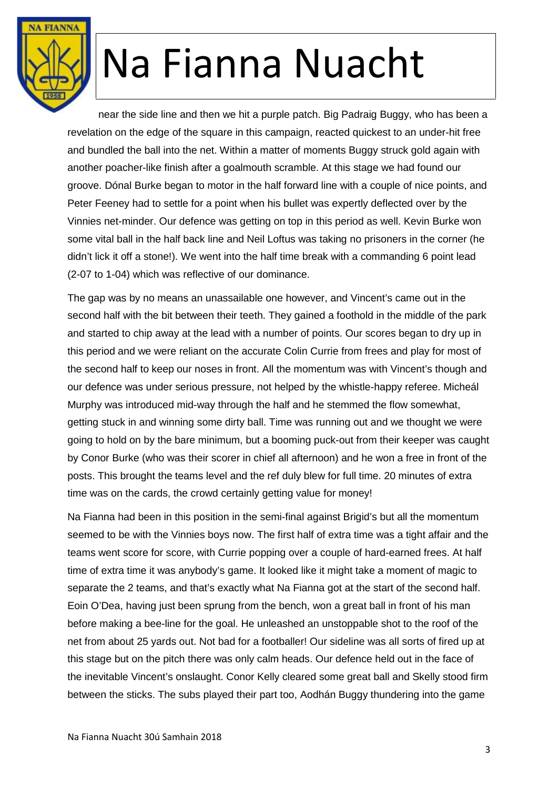

near the side line and then we hit a purple patch. Big Padraig Buggy, who has been a revelation on the edge of the square in this campaign, reacted quickest to an under-hit free and bundled the ball into the net. Within a matter of moments Buggy struck gold again with another poacher-like finish after a goalmouth scramble. At this stage we had found our groove. Dónal Burke began to motor in the half forward line with a couple of nice points, and Peter Feeney had to settle for a point when his bullet was expertly deflected over by the Vinnies net-minder. Our defence was getting on top in this period as well. Kevin Burke won some vital ball in the half back line and Neil Loftus was taking no prisoners in the corner (he didn't lick it off a stone!). We went into the half time break with a commanding 6 point lead (2-07 to 1-04) which was reflective of our dominance.

The gap was by no means an unassailable one however, and Vincent's came out in the second half with the bit between their teeth. They gained a foothold in the middle of the park and started to chip away at the lead with a number of points. Our scores began to dry up in this period and we were reliant on the accurate Colin Currie from frees and play for most of the second half to keep our noses in front. All the momentum was with Vincent's though and our defence was under serious pressure, not helped by the whistle-happy referee. Micheál Murphy was introduced mid-way through the half and he stemmed the flow somewhat, getting stuck in and winning some dirty ball. Time was running out and we thought we were going to hold on by the bare minimum, but a booming puck-out from their keeper was caught by Conor Burke (who was their scorer in chief all afternoon) and he won a free in front of the posts. This brought the teams level and the ref duly blew for full time. 20 minutes of extra time was on the cards, the crowd certainly getting value for money!

Na Fianna had been in this position in the semi-final against Brigid's but all the momentum seemed to be with the Vinnies boys now. The first half of extra time was a tight affair and the teams went score for score, with Currie popping over a couple of hard-earned frees. At half time of extra time it was anybody's game. It looked like it might take a moment of magic to separate the 2 teams, and that's exactly what Na Fianna got at the start of the second half. Eoin O'Dea, having just been sprung from the bench, won a great ball in front of his man before making a bee-line for the goal. He unleashed an unstoppable shot to the roof of the net from about 25 yards out. Not bad for a footballer! Our sideline was all sorts of fired up at this stage but on the pitch there was only calm heads. Our defence held out in the face of the inevitable Vincent's onslaught. Conor Kelly cleared some great ball and Skelly stood firm between the sticks. The subs played their part too, Aodhán Buggy thundering into the game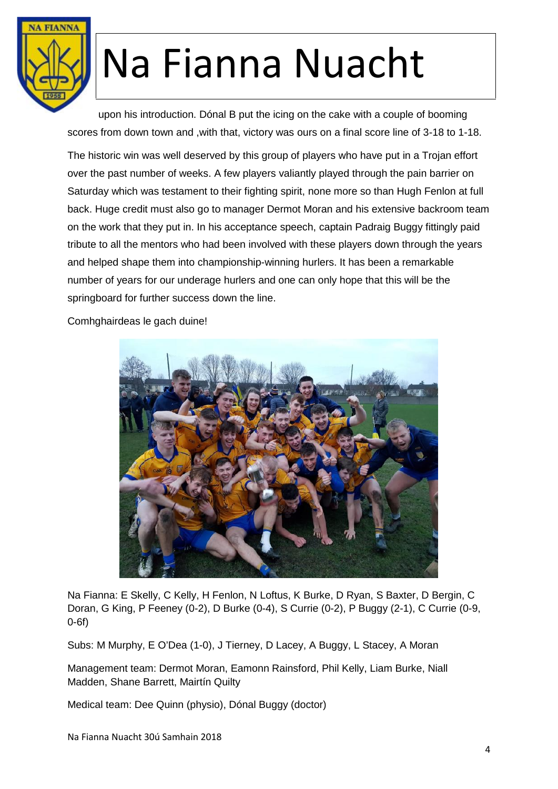

upon his introduction. Dónal B put the icing on the cake with a couple of booming scores from down town and ,with that, victory was ours on a final score line of 3-18 to 1-18.

The historic win was well deserved by this group of players who have put in a Trojan effort over the past number of weeks. A few players valiantly played through the pain barrier on Saturday which was testament to their fighting spirit, none more so than Hugh Fenlon at full back. Huge credit must also go to manager Dermot Moran and his extensive backroom team on the work that they put in. In his acceptance speech, captain Padraig Buggy fittingly paid tribute to all the mentors who had been involved with these players down through the years and helped shape them into championship-winning hurlers. It has been a remarkable number of years for our underage hurlers and one can only hope that this will be the springboard for further success down the line.

Comhghairdeas le gach duine!



Na Fianna: E Skelly, C Kelly, H Fenlon, N Loftus, K Burke, D Ryan, S Baxter, D Bergin, C Doran, G King, P Feeney (0-2), D Burke (0-4), S Currie (0-2), P Buggy (2-1), C Currie (0-9, 0-6f)

Subs: M Murphy, E O'Dea (1-0), J Tierney, D Lacey, A Buggy, L Stacey, A Moran

Management team: Dermot Moran, Eamonn Rainsford, Phil Kelly, Liam Burke, Niall Madden, Shane Barrett, Mairtín Quilty

Medical team: Dee Quinn (physio), Dónal Buggy (doctor)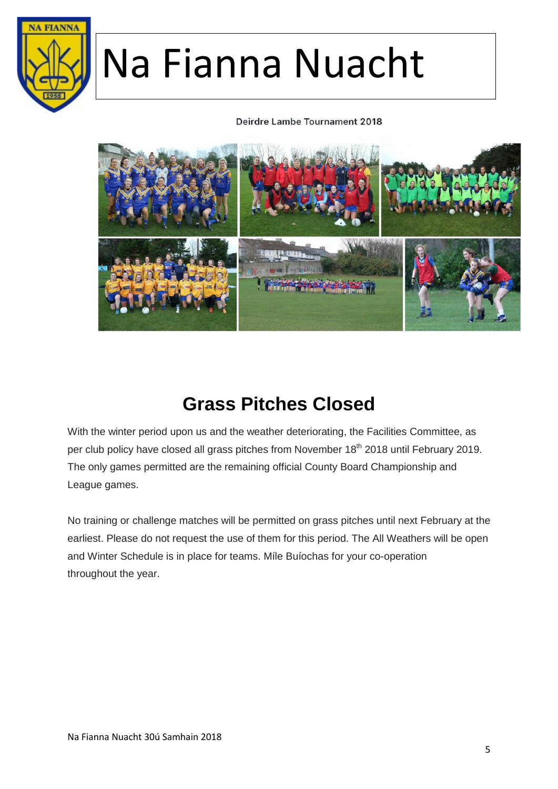

#### Deirdre Lambe Tournament 2018



### **Grass Pitches Closed**

With the winter period upon us and the weather deteriorating, the Facilities Committee, as per club policy have closed all grass pitches from November 18<sup>th</sup> 2018 until February 2019. The only games permitted are the remaining official County Board Championship and League games.

No training or challenge matches will be permitted on grass pitches until next February at the earliest. Please do not request the use of them for this period. The All Weathers will be open and Winter Schedule is in place for teams. Míle Buíochas for your co-operation throughout the year.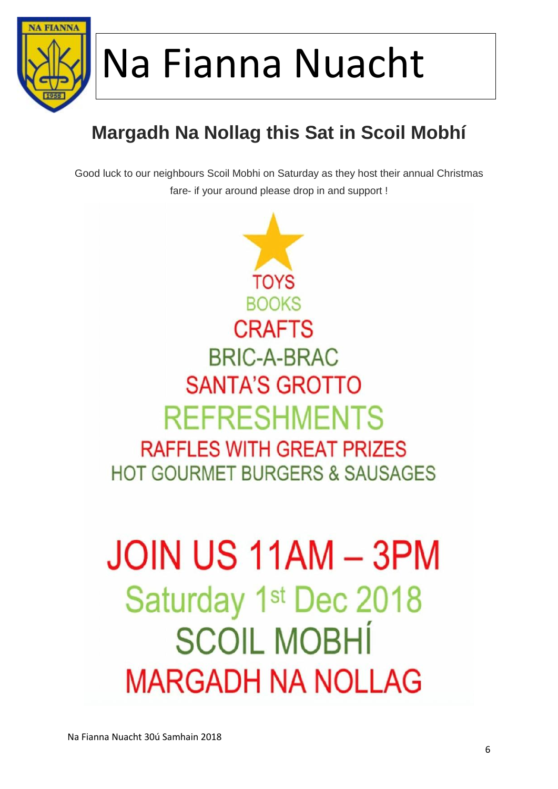

### **Margadh Na Nollag this Sat in Scoil Mobhí**

Good luck to our neighbours Scoil Mobhi on Saturday as they host their annual Christmas fare- if your around please drop in and support !

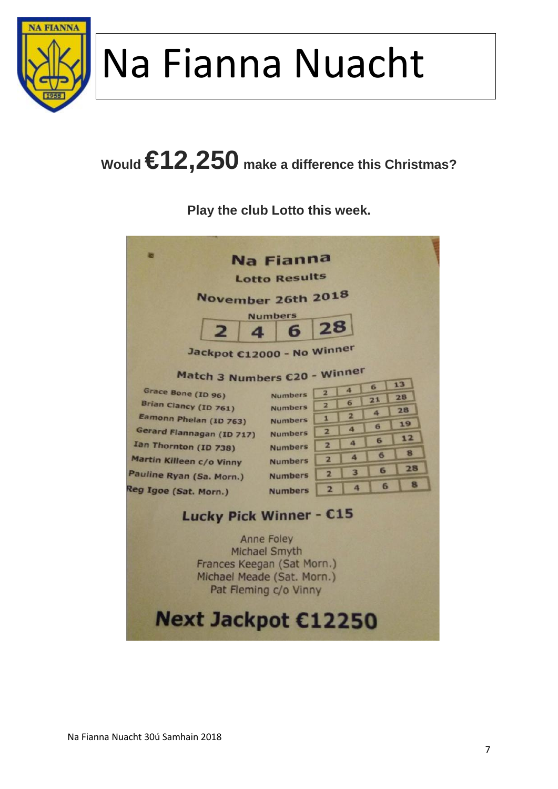

## **Would €12,250 make a difference this Christmas?**

**Play the club Lotto this week.**

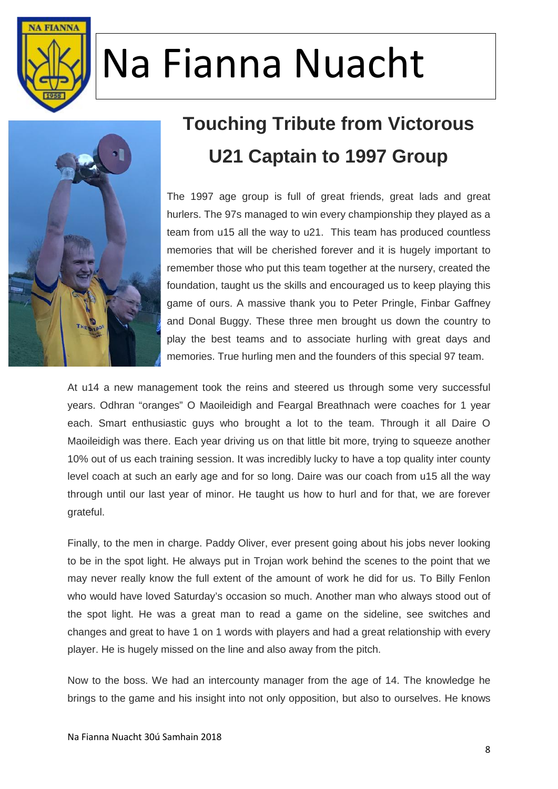



### **Touching Tribute from Victorous U21 Captain to 1997 Group**

The 1997 age group is full of great friends, great lads and great hurlers. The 97s managed to win every championship they played as a team from u15 all the way to u21. This team has produced countless memories that will be cherished forever and it is hugely important to remember those who put this team together at the nursery, created the foundation, taught us the skills and encouraged us to keep playing this game of ours. A massive thank you to Peter Pringle, Finbar Gaffney and Donal Buggy. These three men brought us down the country to play the best teams and to associate hurling with great days and memories. True hurling men and the founders of this special 97 team.

At u14 a new management took the reins and steered us through some very successful years. Odhran "oranges" O Maoileidigh and Feargal Breathnach were coaches for 1 year each. Smart enthusiastic guys who brought a lot to the team. Through it all Daire O Maoileidigh was there. Each year driving us on that little bit more, trying to squeeze another 10% out of us each training session. It was incredibly lucky to have a top quality inter county level coach at such an early age and for so long. Daire was our coach from u15 all the way through until our last year of minor. He taught us how to hurl and for that, we are forever grateful.

Finally, to the men in charge. Paddy Oliver, ever present going about his jobs never looking to be in the spot light. He always put in Trojan work behind the scenes to the point that we may never really know the full extent of the amount of work he did for us. To Billy Fenlon who would have loved Saturday's occasion so much. Another man who always stood out of the spot light. He was a great man to read a game on the sideline, see switches and changes and great to have 1 on 1 words with players and had a great relationship with every player. He is hugely missed on the line and also away from the pitch.

Now to the boss. We had an intercounty manager from the age of 14. The knowledge he brings to the game and his insight into not only opposition, but also to ourselves. He knows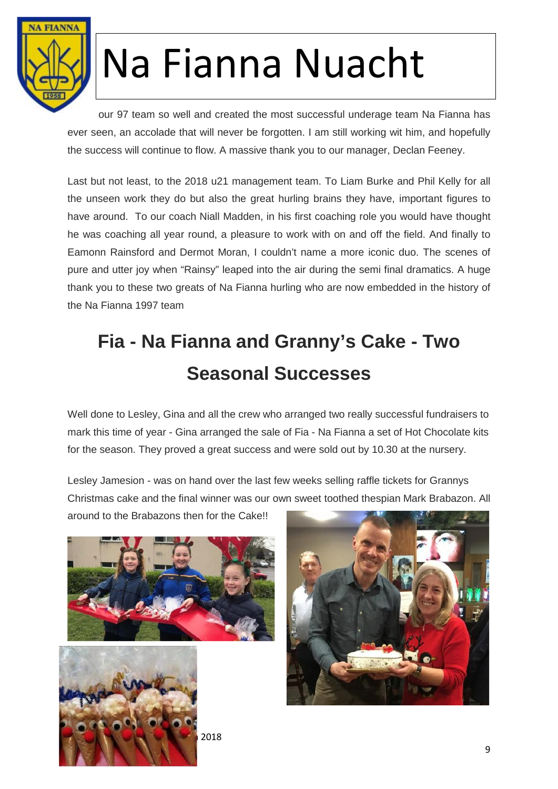

our 97 team so well and created the most successful underage team Na Fianna has ever seen, an accolade that will never be forgotten. I am still working wit him, and hopefully the success will continue to flow. A massive thank you to our manager, Declan Feeney.

Last but not least, to the 2018 u21 management team. To Liam Burke and Phil Kelly for all the unseen work they do but also the great hurling brains they have, important figures to have around. To our coach Niall Madden, in his first coaching role you would have thought he was coaching all year round, a pleasure to work with on and off the field. And finally to Eamonn Rainsford and Dermot Moran, I couldn't name a more iconic duo. The scenes of pure and utter joy when "Rainsy" leaped into the air during the semi final dramatics. A huge thank you to these two greats of Na Fianna hurling who are now embedded in the history of the Na Fianna 1997 team

### **Fia - Na Fianna and Granny's Cake - Two Seasonal Successes**

Well done to Lesley, Gina and all the crew who arranged two really successful fundraisers to mark this time of year - Gina arranged the sale of Fia - Na Fianna a set of Hot Chocolate kits for the season. They proved a great success and were sold out by 10.30 at the nursery.

Lesley Jamesion - was on hand over the last few weeks selling raffle tickets for Grannys Christmas cake and the final winner was our own sweet toothed thespian Mark Brabazon. All

around to the Brabazons then for the Cake!!





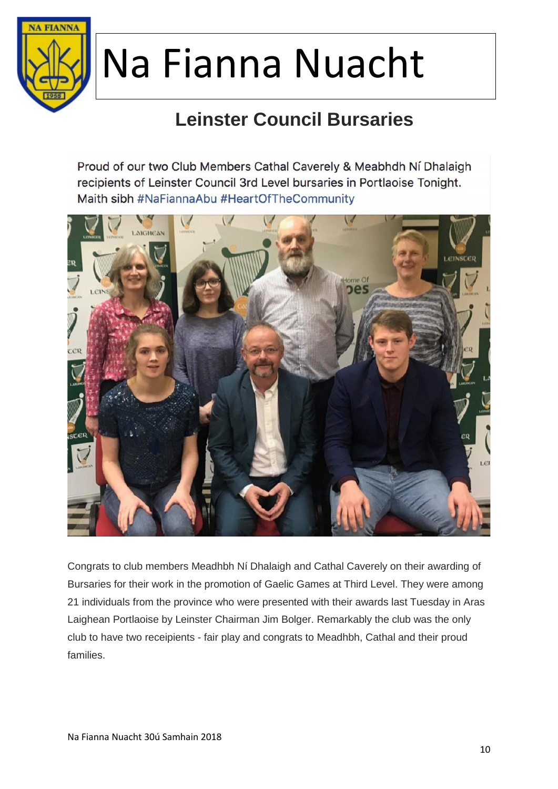

### **Leinster Council Bursaries**

Proud of our two Club Members Cathal Caverely & Meabhdh Ní Dhalaigh recipients of Leinster Council 3rd Level bursaries in Portlaoise Tonight. Maith sibh #NaFiannaAbu #HeartOfTheCommunity



Congrats to club members Meadhbh Ní Dhalaigh and Cathal Caverely on their awarding of Bursaries for their work in the promotion of Gaelic Games at Third Level. They were among 21 individuals from the province who were presented with their awards last Tuesday in Aras Laighean Portlaoise by Leinster Chairman Jim Bolger. Remarkably the club was the only club to have two receipients - fair play and congrats to Meadhbh, Cathal and their proud families.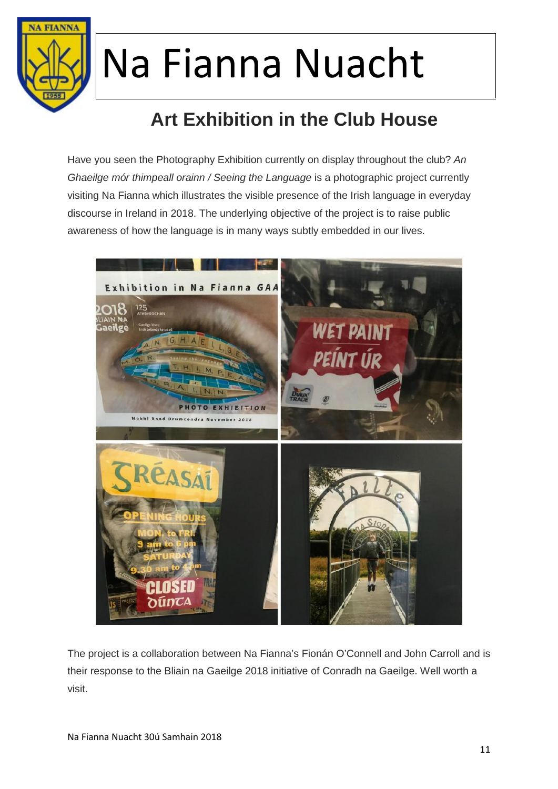

### **Art Exhibition in the Club House**

Have you seen the Photography Exhibition currently on display throughout the club? *An Ghaeilge mór thimpeall orainn / Seeing the Language* is a photographic project currently visiting Na Fianna which illustrates the visible presence of the Irish language in everyday discourse in Ireland in 2018. The underlying objective of the project is to raise public awareness of how the language is in many ways subtly embedded in our lives.



The project is a collaboration between Na Fianna's Fionán O'Connell and John Carroll and is their response to the Bliain na Gaeilge 2018 initiative of Conradh na Gaeilge. Well worth a visit.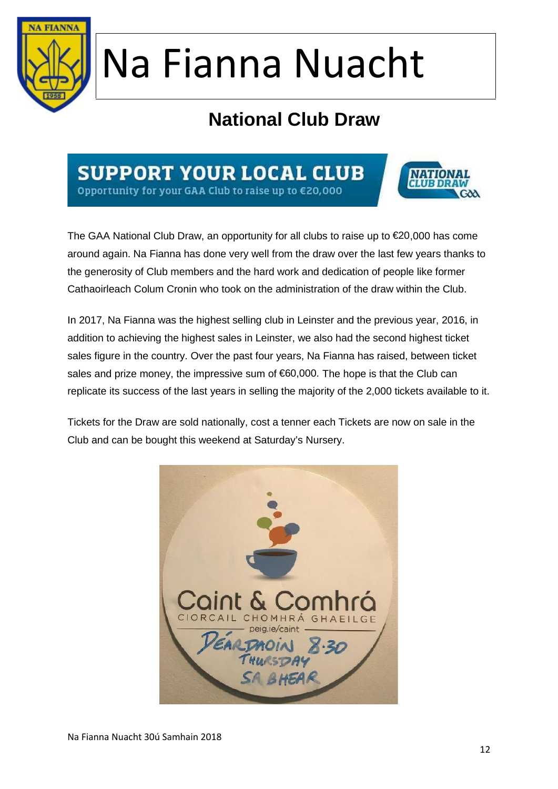

### **National Club Draw**

### **SUPPORT YOUR LOCAL CLUB**

Opportunity for your GAA Club to raise up to €20,000



The GAA National Club Draw, an opportunity for all clubs to raise up to €20,000 has come around again. Na Fianna has done very well from the draw over the last few years thanks to the generosity of Club members and the hard work and dedication of people like former Cathaoirleach Colum Cronin who took on the administration of the draw within the Club.

In 2017, Na Fianna was the highest selling club in Leinster and the previous year, 2016, in addition to achieving the highest sales in Leinster, we also had the second highest ticket sales figure in the country. Over the past four years, Na Fianna has raised, between ticket sales and prize money, the impressive sum of  $60,000$ . The hope is that the Club can replicate its success of the last years in selling the majority of the 2,000 tickets available to it.

Tickets for the Draw are sold nationally, cost a tenner each Tickets are now on sale in the Club and can be bought this weekend at Saturday's Nursery.

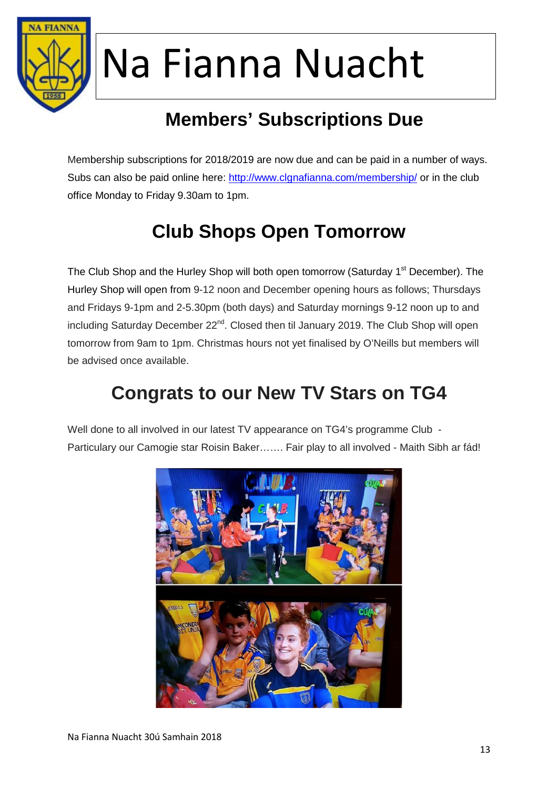

### **Members' Subscriptions Due**

Membership subscriptions for 2018/2019 are now due and can be paid in a number of ways. Subs can also be paid online here: http://www.clgnafianna.com/membership/ or in the club office Monday to Friday 9.30am to 1pm.

### **Club Shops Open Tomorrow**

The Club Shop and the Hurley Shop will both open tomorrow (Saturday 1<sup>st</sup> December). The Hurley Shop will open from 9-12 noon and December opening hours as follows; Thursdays and Fridays 9-1pm and 2-5.30pm (both days) and Saturday mornings 9-12 noon up to and including Saturday December 22<sup>nd</sup>. Closed then til January 2019. The Club Shop will open tomorrow from 9am to 1pm. Christmas hours not yet finalised by O'Neills but members will be advised once available.

### **Congrats to our New TV Stars on TG4**

Well done to all involved in our latest TV appearance on TG4's programme Club -Particulary our Camogie star Roisin Baker……. Fair play to all involved - Maith Sibh ar fád!